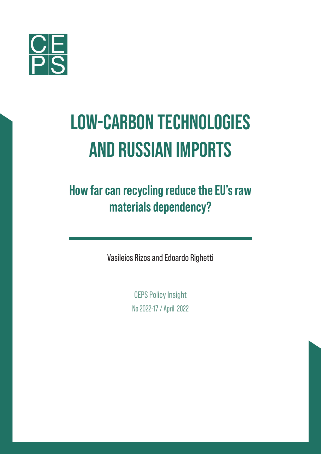

# Low-carbon technologies and Russian imports

**How far can recycling reduce the EU's raw materials dependency?**

Vasileios Rizos and Edoardo Righetti

CEPS Policy Insight No 2022-17 / April 2022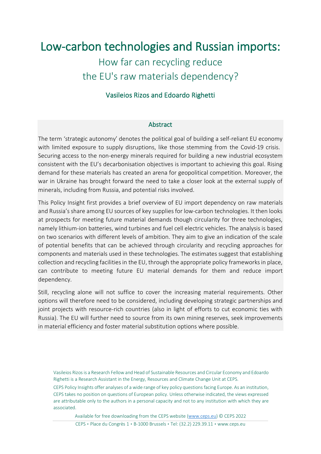## Low-carbon technologies and Russian imports:

## How far can recycling reduce the EU's raw materials dependency?

#### Vasileios Rizos and Edoardo Righetti

#### Abstract

The term 'strategic autonomy' denotes the political goal of building a self-reliant EU economy with limited exposure to supply disruptions, like those stemming from the Covid-19 crisis. Securing access to the non-energy minerals required for building a new industrial ecosystem consistent with the EU's decarbonisation objectives is important to achieving this goal. Rising demand for these materials has created an arena for geopolitical competition. Moreover, the war in Ukraine has brought forward the need to take a closer look at the external supply of minerals, including from Russia, and potential risks involved.

This Policy Insight first provides a brief overview of EU import dependency on raw materials and Russia's share among EU sources of key supplies for low-carbon technologies. It then looks at prospects for meeting future material demands though circularity for three technologies, namely lithium-ion batteries, wind turbines and fuel cell electric vehicles. The analysis is based on two scenarios with different levels of ambition. They aim to give an indication of the scale of potential benefits that can be achieved through circularity and recycling approaches for components and materials used in these technologies. The estimates suggest that establishing collection and recycling facilities in the EU, through the appropriate policy frameworks in place, can contribute to meeting future EU material demands for them and reduce import dependency.

Still, recycling alone will not suffice to cover the increasing material requirements. Other options will therefore need to be considered, including developing strategic partnerships and joint projects with resource-rich countries (also in light of efforts to cut economic ties with Russia). The EU will further need to source from its own mining reserves, seek improvements in material efficiency and foster material substitution options where possible.

Available for free downloading from the CEPS website [\(www.ceps.eu\)](http://www.ceps.eu/) © CEPS 2022

Vasileios Rizosis a Research Fellow and Head of Sustainable Resources and Circular Economy and Edoardo Righetti is a Research Assistant in the Energy, Resources and Climate Change Unit at CEPS.

CEPS Policy Insights offer analyses of a wide range of key policy questions facing Europe. As an institution, CEPS takes no position on questions of European policy. Unless otherwise indicated, the views expressed are attributable only to the authors in a personal capacity and not to any institution with which they are associated.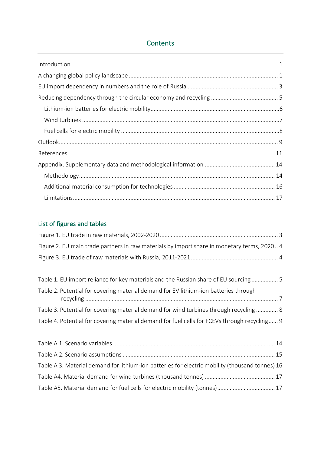#### **Contents**

### List of figures and tables

| Figure 2. EU main trade partners in raw materials by import share in monetary terms, 2020 4 |  |
|---------------------------------------------------------------------------------------------|--|
|                                                                                             |  |

| Table 1. EU import reliance for key materials and the Russian share of EU sourcing 5         |  |
|----------------------------------------------------------------------------------------------|--|
| Table 2. Potential for covering material demand for EV lithium-ion batteries through         |  |
| Table 3. Potential for covering material demand for wind turbines through recycling  8       |  |
| Table 4. Potential for covering material demand for fuel cells for FCEVs through recycling 9 |  |

| Table A 3. Material demand for lithium-ion batteries for electric mobility (thousand tonnes) 16 |  |
|-------------------------------------------------------------------------------------------------|--|
|                                                                                                 |  |
| Table A5. Material demand for fuel cells for electric mobility (tonnes) 17                      |  |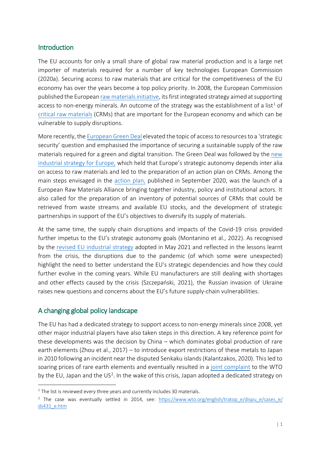#### <span id="page-3-0"></span>**Introduction**

The EU accounts for only a small share of global raw material production and is a large net importer of materials required for a number of key technologies European Commission (2020a). Securing access to raw materials that are critical for the competitiveness of the EU economy has over the years become a top policy priority. In 2008, the European Commission published the European raw materials initiative, its first integrated strategy aimed at supporting access to non-energy minerals. An outcome of the strategy was the establishment of a list<sup>[1](#page-3-2)</sup> of [critical raw materials](https://eur-lex.europa.eu/legal-content/EN/TXT/PDF/?uri=CELEX:52020DC0474&from=EN) (CRMs) that are important for the European economy and which can be vulnerable to supply disruptions.

More recently, the [European Green Deal](https://eur-lex.europa.eu/resource.html?uri=cellar:b828d165-1c22-11ea-8c1f-01aa75ed71a1.0002.02/DOC_1&format=PDF) elevated the topic of access to resourcesto a 'strategic security' question and emphasised the importance of securing a sustainable supply of the raw materials required for a green and digital transition. The Green Deal was followed by the [new](https://eur-lex.europa.eu/legal-content/EN/TXT/PDF/?uri=CELEX:52020DC0102&from=EN)  [industrial strategy for Europe,](https://eur-lex.europa.eu/legal-content/EN/TXT/PDF/?uri=CELEX:52020DC0102&from=EN) which held that Europe's strategic autonomy depends inter alia on access to raw materials and led to the preparation of an action plan on CRMs. Among the main steps envisaged in the [action plan,](https://eur-lex.europa.eu/legal-content/EN/TXT/PDF/?uri=CELEX:52020DC0474&from=EN) published in September 2020, was the launch of a European Raw Materials Alliance bringing together industry, policy and institutional actors. It also called for the preparation of an inventory of potential sources of CRMs that could be retrieved from waste streams and available EU stocks, and the development of strategic partnerships in support of the EU's objectives to diversify its supply of materials.

At the same time, the supply chain disruptions and impacts of the Covid-19 crisis provided further impetus to the EU's strategic autonomy goals (Montanino et al., 2022). As recognised by the [revised EU industrial strategy](https://ec.europa.eu/info/sites/default/files/communication-industrial-strategy-update-2020_en.pdf) adopted in May 2021 and reflected in the lessons learnt from the crisis, the disruptions due to the pandemic (of which some were unexpected) highlight the need to better understand the EU's strategic dependencies and how they could further evolve in the coming years. While EU manufacturers are still dealing with shortages and other effects caused by the crisis (Szczepański, 2021), the Russian invasion of Ukraine raises new questions and concerns about the EU's future supply-chain vulnerabilities.

#### <span id="page-3-1"></span>A changing global policy landscape

The EU has had a dedicated strategy to support access to non-energy minerals since 2008, yet other major industrial players have also taken steps in this direction. A key reference point for these developments was the decision by China – which dominates global production of rare earth elements (Zhou et al., 2017) – to introduce export restrictions of these metals to Japan in 2010 following an incident near the disputed Senkaku islands(Kalantzakos, 2020). This led to soaring prices of rare earth elements and eventually resulted in a [joint complaint](https://trade.ec.europa.eu/wtodispute/show.cfm?id=529&code=1) to the WTO by the EU, Japan and the US<sup>[2](#page-3-3)</sup>. In the wake of this crisis, Japan adopted a dedicated strategy on

<span id="page-3-2"></span> $1$  The list is reviewed every three years and currently includes 30 materials.

<span id="page-3-3"></span><sup>&</sup>lt;sup>2</sup> The case was eventually settled in 2014, see: [https://www.wto.org/english/tratop\\_e/dispu\\_e/cases\\_e/](https://www.wto.org/english/tratop_e/dispu_e/cases_e/ds431_e.htm) [ds431\\_e.htm](https://www.wto.org/english/tratop_e/dispu_e/cases_e/ds431_e.htm)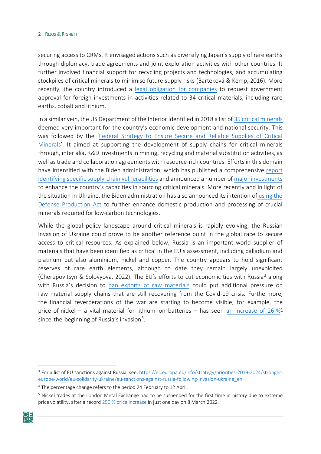securing access to CRMs. It envisaged actions such as diversifying Japan's supply of rare earths through diplomacy, trade agreements and joint exploration activities with other countries. It further involved financial support for recycling projects and technologies, and accumulating stockpiles of critical minerals to minimise future supply risks (Barteková & Kemp, 2016). More recently, the country introduced [a legal obligation for companies](https://investmentpolicy.unctad.org/investment-policy-monitor/measures/3760/japan-foreign-investment-in-activities-related-to-34-rare-earth-metals-now-subject-to-screening) to request government approval for foreign investments in activities related to 34 critical materials, including rare earths, cobalt and lithium.

In a similar vein, the US Department of the Interior identified in 2018 a list of [35 critical minerals](https://www.govinfo.gov/app/details/FR-2018-05-18/2018-10667/summary) deemed very important for the country's economic development and national security. This was followed by the ['Federal Strategy to Ensure Secure and Reliable Supplies of Critical](https://www.commerce.gov/sites/default/files/2020-01/Critical_Minerals_Strategy_Final.pdf)  [Minerals'](https://www.commerce.gov/sites/default/files/2020-01/Critical_Minerals_Strategy_Final.pdf). It aimed at supporting the development of supply chains for critical minerals through, inter alia, R&D investments in mining, recycling and material substitution activities, as well as trade and collaboration agreements with resource-rich countries. Efforts in this domain have intensified with the Biden administration, which has published a comprehensive [report](https://www.whitehouse.gov/wp-content/uploads/2021/06/100-day-supply-chain-review-report.pdf)  [identifying specific supply-chain vulnerabilities](https://www.whitehouse.gov/wp-content/uploads/2021/06/100-day-supply-chain-review-report.pdf) and announced a number of [major investments](https://www.whitehouse.gov/briefing-room/statements-releases/2022/02/22/fact-sheet-securing-a-made-in-america-supply-chain-for-critical-minerals/) to enhance the country's capacities in sourcing critical minerals. More recently and in light of the situation in Ukraine, the Biden administration has also announced itsintention of [using](https://www.whitehouse.gov/briefing-room/statements-releases/2022/03/31/fact-sheet-president-bidens-plan-to-respond-to-putins-price-hike-at-the-pump/) the [Defense Production Act](https://www.whitehouse.gov/briefing-room/statements-releases/2022/03/31/fact-sheet-president-bidens-plan-to-respond-to-putins-price-hike-at-the-pump/) to further enhance domestic production and processing of crucial minerals required for low-carbon technologies.

While the global policy landscape around critical minerals is rapidly evolving, the Russian invasion of Ukraine could prove to be another reference point in the global race to secure access to critical resources. As explained below, Russia is an important world supplier of materials that have been identified as critical in the EU's assessment, including palladium and platinum but also aluminium, nickel and copper. The country appears to hold significant reserves of rare earth elements, although to date they remain largely unexploited (Cherepovitsyn & Solovyova, 2022). The EU's efforts to cut economic ties with Russia<sup>[3](#page-4-0)</sup> along with Russia's decision to [ban exports of raw materials](http://publication.pravo.gov.ru/Document/View/0001202203080005?index=0&rangeSize=1) could put additional pressure on raw material supply chains that are still recovering from the Covid-19 crisis. Furthermore, the financial reverberations of the war are starting to become visible; for example, the price of nickel – a vital material for lithium-ion batteries – has seen [an increase of](https://www.lme.com/en/metals/non-ferrous/lme-nickel#Price+graphs) 26  $\frac{4}{9}$  $\frac{4}{9}$  $\frac{4}{9}$ since the beginning of Russia's invasion [5](#page-4-2) .

<span id="page-4-2"></span><span id="page-4-1"></span><span id="page-4-0"></span><sup>&</sup>lt;sup>5</sup> Nickel trades at the London Metal Exchange had to be suspended for the first time in history due to extreme price volatility, after a record 250 [% price increase](https://www.bloomberg.com/news/articles/2022-03-18/behind-the-nickel-mess-on-the-london-metal-exchange-quicktake) in just one day on 8 March 2022.



<sup>&</sup>lt;sup>3</sup> For a list of EU sanctions against Russia, see[: https://ec.europa.eu/info/strategy/priorities](https://ec.europa.eu/info/strategy/priorities-2019-2024/stronger-europe-world/eu-solidarity-ukraine/eu-sanctions-against-russia-following-invasion-ukraine_en)-2019-2024/strongereurope-world/eu-solidarity-ukraine/eu[-sanctions-against-russia-following-invasion-](https://ec.europa.eu/info/strategy/priorities-2019-2024/stronger-europe-world/eu-solidarity-ukraine/eu-sanctions-against-russia-following-invasion-ukraine_en)ukraine\_en

<sup>&</sup>lt;sup>4</sup> The percentage change refers to the period 24 February to 12 April.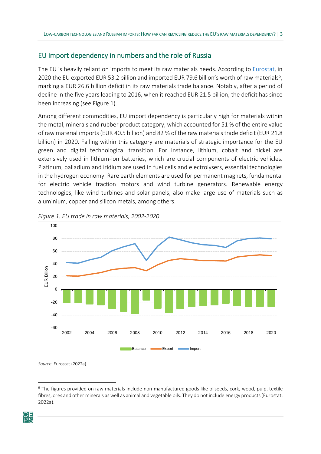#### <span id="page-5-0"></span>EU import dependency in numbers and the role of Russia

The EU is heavily reliant on imports to meet its raw materials needs. According to [Eurostat,](https://ec.europa.eu/eurostat/statistics-explained/index.php?title=Extra-EU_trade_in_raw_materials#EU_trade_partners_for_raw_materials) in 2020 the EU exported EUR 53.2 billion and imported EUR 79.6 billion's worth of raw materials<sup>6</sup>, marking a EUR 26.6 billion deficit in its raw materials trade balance. Notably, after a period of decline in the five years leading to 2016, when it reached EUR 21.5 billion, the deficit has since been increasing (see Figure 1).

Among different commodities, EU import dependency is particularly high for materials within the metal, minerals and rubber product category, which accounted for 51 % of the entire value of raw material imports (EUR 40.5 billion) and 82 % of the raw materials trade deficit (EUR 21.8 billion) in 2020. Falling within this category are materials of strategic importance for the EU green and digital technological transition. For instance, lithium, cobalt and nickel are extensively used in lithium-ion batteries, which are crucial components of electric vehicles. Platinum, palladium and iridium are used in fuel cells and electrolysers, essential technologies in the hydrogen economy. Rare earth elements are used for permanent magnets, fundamental for electric vehicle traction motors and wind turbine generators. Renewable energy technologies, like wind turbines and solar panels, also make large use of materials such as aluminium, copper and silicon metals, among others.



<span id="page-5-1"></span>*Figure 1. EU trade in raw materials, 2002-2020*

*Source*: Eurostat (2022a).

<span id="page-5-2"></span><sup>6</sup> The figures provided on raw materials include non-manufactured goods like oilseeds, cork, wood, pulp, textile fibres, ores and other minerals as well as animal and vegetable oils. They do not include energy products (Eurostat, 2022a).

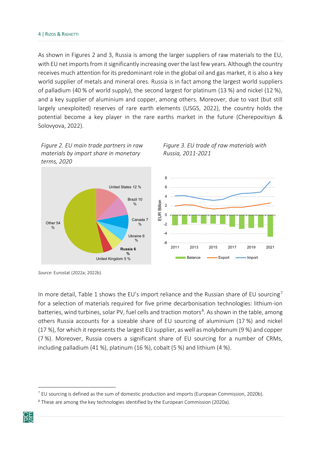As shown in Figures 2 and 3, Russia is among the larger suppliers of raw materials to the EU, with EU net imports from it significantly increasing over the last few years. Although the country receives much attention for its predominant role in the global oil and gas market, it is also a key world supplier of metals and mineral ores. Russia is in fact among the largest world suppliers of palladium (40 % of world supply), the second largest for platinum (13 %) and nickel (12 %), and a key supplier of aluminium and copper, among others. Moreover, due to vast (but still largely unexploited) reserves of rare earth elements (USGS, 2022), the country holds the potential become a key player in the rare earths market in the future (Cherepovitsyn & Solovyova, 2022).

<span id="page-6-1"></span>*Figure 3. EU trade of raw materials with* 

*Russia, 2011-2021*

<span id="page-6-0"></span>



*Source*: Eurostat (2022a; 2022b).

In more detail, Table 1 shows the EU's import reliance and the Russian share of EU sourcing<sup>[7](#page-6-2)</sup> for a selection of materials required for five prime decarbonisation technologies: lithium-ion batteries, wind turbines, solar PV, fuel cells and traction motors<sup>[8](#page-6-3)</sup>. As shown in the table, among others Russia accounts for a sizeable share of EU sourcing of aluminium (17 %) and nickel (17 %), for which it represents the largest EU supplier, as well as molybdenum (9 %) and copper (7 %). Moreover, Russia covers a significant share of EU sourcing for a number of CRMs, including palladium (41 %), platinum (16 %), cobalt (5 %) and lithium (4 %).

<span id="page-6-3"></span><span id="page-6-2"></span><sup>&</sup>lt;sup>8</sup> These are among the key technologies identified by the European Commission (2020a).



 $<sup>7</sup>$  EU sourcing is defined as the sum of domestic production and imports (European Commission, 2020b).</sup>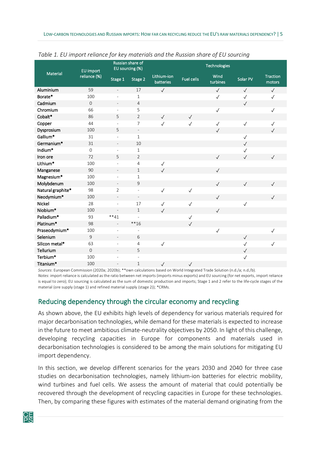| $\overline{\phantom{a}}$ |                     |                              |                                     |                          |                   |                  |              |                           |
|--------------------------|---------------------|------------------------------|-------------------------------------|--------------------------|-------------------|------------------|--------------|---------------------------|
| Material                 | EU import           |                              | Russian share of<br>EU sourcing (%) |                          |                   | Technologies     |              |                           |
|                          | reliance (%)        | Stage 1                      | Stage 2                             | Lithium-ion<br>batteries | <b>Fuel cells</b> | Wind<br>turbines | Solar PV     | <b>Traction</b><br>motors |
| Aluminium                | 59                  | $\overline{\phantom{m}}$     | 17                                  | $\checkmark$             |                   | $\checkmark$     | $\sqrt{ }$   | $\checkmark$              |
| Borate*                  | 100                 | $\qquad \qquad \blacksquare$ | $\mathbf{1}$                        |                          |                   | $\checkmark$     | $\checkmark$ | $\checkmark$              |
| Cadmium                  | $\mathbf{0}$        | $\overline{\phantom{a}}$     | 4                                   |                          |                   |                  | $\checkmark$ |                           |
| Chromium                 | 66                  | $\overline{a}$               | 5                                   |                          |                   | $\checkmark$     |              | $\checkmark$              |
| Cobalt*                  | 86                  | 5                            | $\overline{2}$                      | $\sqrt{}$                | $\checkmark$      |                  |              |                           |
| Copper                   | 44                  | ÷,                           | $\overline{7}$                      | $\checkmark$             | $\checkmark$      | $\checkmark$     | $\checkmark$ | $\checkmark$              |
| Dysprosium               | 100                 | 5                            | $\overline{\phantom{a}}$            |                          |                   | $\checkmark$     |              | $\checkmark$              |
| Gallium*                 | 31                  | $\bar{\phantom{a}}$          | $\mathbf{1}$                        |                          |                   |                  | $\checkmark$ |                           |
| Germanium*               | 31                  | $\qquad \qquad \blacksquare$ | 10                                  |                          |                   |                  | $\checkmark$ |                           |
| Indium*                  | $\mathsf{O}\xspace$ | $\overline{\phantom{a}}$     | $\mathbf{1}$                        |                          |                   |                  | $\checkmark$ |                           |
| Iron ore                 | 72                  | 5                            | $\overline{2}$                      |                          |                   | $\checkmark$     | $\checkmark$ | $\checkmark$              |
| Lithium*                 | 100                 | $\bar{\phantom{a}}$          | 4                                   | $\checkmark$             |                   |                  |              |                           |
| Manganese                | 90                  | $\overline{\phantom{a}}$     | $1\,$                               | $\checkmark$             |                   | $\checkmark$     |              |                           |
| Magnesium*               | 100                 | ÷,                           | $\mathbf{1}$                        |                          |                   |                  |              |                           |
| Molybdenum               | 100                 | $\qquad \qquad \blacksquare$ | 9                                   |                          |                   | $\checkmark$     | $\checkmark$ | $\checkmark$              |
| Natural graphite*        | 98                  | $\overline{2}$               | $\overline{\phantom{a}}$            | $\checkmark$             | $\checkmark$      |                  |              |                           |
| Neodymium*               | 100                 | $\overline{\phantom{a}}$     | $\overline{\phantom{a}}$            |                          |                   | $\checkmark$     |              | $\checkmark$              |
| Nickel                   | 28                  | $\overline{\phantom{a}}$     | 17                                  | $\checkmark$             | $\checkmark$      |                  | $\checkmark$ |                           |
| Niobium*                 | 100                 | $\overline{a}$               | $\mathbf{1}$                        | $\checkmark$             |                   | $\checkmark$     |              |                           |
| Palladium*               | 93                  | $**41$                       |                                     |                          | $\checkmark$      |                  |              |                           |
| Platinum*                | 98                  | $\overline{\phantom{a}}$     | $**16$                              |                          | $\checkmark$      |                  |              |                           |
| Praseodymium*            | 100                 | ÷                            | $\overline{\phantom{a}}$            |                          |                   | $\checkmark$     |              | $\checkmark$              |
| Selenium                 | $\mathsf 9$         | $\qquad \qquad -$            | 6                                   |                          |                   |                  | $\checkmark$ |                           |
| Silicon metal*           | 63                  | $\bar{\phantom{a}}$          | 4                                   | $\checkmark$             |                   |                  | $\checkmark$ | $\checkmark$              |
| Tellurium                | $\overline{0}$      | $\overline{a}$               | 5                                   |                          |                   |                  | $\checkmark$ |                           |
| Terbium*                 | 100                 | L,                           | $\overline{\phantom{a}}$            |                          |                   |                  | $\checkmark$ |                           |
| Titanium*                | 100                 | $\overline{a}$               | $\mathbf 1$                         | $\checkmark$             | $\checkmark$      |                  |              |                           |

#### <span id="page-7-1"></span>*Table 1. EU import reliance for key materials and the Russian share of EU sourcing*

*Sources*: European Commission (2020a; 2020b); \*\*own calculations based on World Integrated Trade Solution (n.d./a; n.d./b). *Notes*: import reliance is calculated as the ratio between net imports (imports minus exports) and EU sourcing (for net exports, import reliance is equal to zero); EU sourcing is calculated as the sum of domestic production and imports; Stage 1 and 2 refer to the life-cycle stages of the material (ore supply (stage 1) and refined material supply (stage 2)); \*CRMs.

#### <span id="page-7-0"></span>Reducing dependency through the circular economy and recycling

As shown above, the EU exhibits high levels of dependency for various materials required for major decarbonisation technologies, while demand for these materials is expected to increase in the future to meet ambitious climate-neutrality objectives by 2050. In light of this challenge, developing recycling capacities in Europe for components and materials used in decarbonisation technologies is considered to be among the main solutions for mitigating EU import dependency.

In this section, we develop different scenarios for the years 2030 and 2040 for three case studies on decarbonisation technologies, namely lithium-ion batteries for electric mobility, wind turbines and fuel cells. We assess the amount of material that could potentially be recovered through the development of recycling capacities in Europe for these technologies. Then, by comparing these figures with estimates of the material demand originating from the

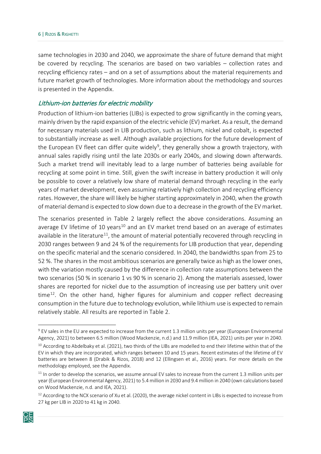same technologies in 2030 and 2040, we approximate the share of future demand that might be covered by recycling. The scenarios are based on two variables – collection rates and recycling efficiency rates – and on a set of assumptions about the material requirements and future market growth of technologies. More information about the methodology and sources is presented in the Appendix.

#### <span id="page-8-0"></span>Lithium-ion batteries for electric mobility

Production of lithium-ion batteries (LIBs) is expected to grow significantly in the coming years, mainly driven by the rapid expansion of the electric vehicle (EV) market. As a result, the demand for necessary materials used in LIB production, such as lithium, nickel and cobalt, is expected to substantially increase as well. Although available projections for the future development of the European EV fleet can differ quite widely<sup>[9](#page-8-1)</sup>, they generally show a growth trajectory, with annual sales rapidly rising until the late 2030s or early 2040s, and slowing down afterwards. Such a market trend will inevitably lead to a large number of batteries being available for recycling at some point in time. Still, given the swift increase in battery production it will only be possible to cover a relatively low share of material demand through recycling in the early years of market development, even assuming relatively high collection and recycling efficiency rates. However, the share will likely be higher starting approximately in 2040, when the growth of material demand is expected to slow down due to a decrease in the growth of the EV market.

The scenarios presented in Table 2 largely reflect the above considerations. Assuming an average EV lifetime of [10](#page-8-2) years<sup>10</sup> and an EV market trend based on an average of estimates available in the literature<sup>11</sup>, the amount of material potentially recovered through recycling in 2030 ranges between 9 and 24 % of the requirements for LIB production that year, depending on the specific material and the scenario considered. In 2040, the bandwidths span from 25 to 52 %. The shares in the most ambitious scenarios are generally twice as high as the lower ones, with the variation mostly caused by the difference in collection rate assumptions between the two scenarios (50 % in scenario 1 vs 90 % in scenario 2). Among the materials assessed, lower shares are reported for nickel due to the assumption of increasing use per battery unit over time $12$ . On the other hand, higher figures for aluminium and copper reflect decreasing consumption in the future due to technology evolution, while lithium use is expected to remain relatively stable. All results are reported in Table 2.

<span id="page-8-4"></span><span id="page-8-3"></span> $12$  According to the NCX scenario of Xu et al. (2020), the average nickel content in LIBs is expected to increase from 27 kg per LIB in 2020 to 41 kg in 2040.



<span id="page-8-1"></span> $9$  EV sales in the EU are expected to increase from the current 1.3 million units per year (European Environmental Agency, 2021) to between 6.5 million (Wood Mackenzie, n.d.) and 11.9 million (IEA, 2021) units per year in 2040.

<span id="page-8-2"></span> $10$  According to Abdelbaky et al. (2021), two thirds of the LIBs are modelled to end their lifetime within that of the EV in which they are incorporated, which ranges between 10 and 15 years. Recent estimates of the lifetime of EV batteries are between 8 (Drabik & Rizos, 2018) and 12 (Ellingsen et al., 2016) years. For more details on the methodology employed, see the Appendix.

 $11$  In order to develop the scenarios, we assume annual EV sales to increase from the current 1.3 million units per year (European Environmental Agency, 2021) to 5.4 million in 2030 and 9.4 million in 2040 (own calculations based on Wood Mackenzie, n.d. and IEA, 2021).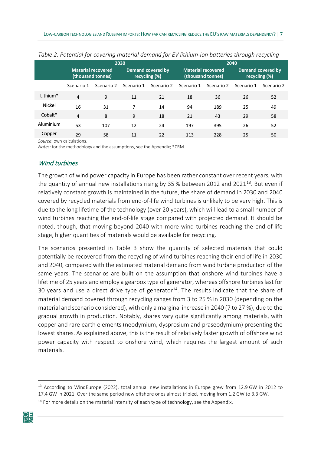|               |                |                                                | 2030       |                                    |            |                                         | 2040       |                                           |
|---------------|----------------|------------------------------------------------|------------|------------------------------------|------------|-----------------------------------------|------------|-------------------------------------------|
|               |                | <b>Material recovered</b><br>(thousand tonnes) |            | Demand covered by<br>recycling (%) |            | Material recovered<br>(thousand tonnes) |            | <b>Demand covered by</b><br>recycling (%) |
|               | Scenario 1     | Scenario 2                                     | Scenario 1 | Scenario 2                         | Scenario 1 | Scenario 2                              | Scenario 1 | Scenario 2                                |
| Lithium*      | $\overline{4}$ | 9                                              | 11         | 21                                 | 18         | 36                                      | 26         | 52                                        |
| <b>Nickel</b> | 16             | 31                                             | 7          | 14                                 | 94         | 189                                     | 25         | 49                                        |
| Cobalt*       | $\overline{4}$ | 8                                              | 9          | 18                                 | 21         | 43                                      | 29         | 58                                        |
| Aluminium     | 53             | 107                                            | 12         | 24                                 | 197        | 395                                     | 26         | 52                                        |
| Copper        | 29             | 58                                             | 11         | 22                                 | 113        | 228                                     | 25         | 50                                        |

<span id="page-9-1"></span>*Table 2. Potential for covering material demand for EV lithium-ion batteries through recycling* 

*Source*: own calculations.

<span id="page-9-0"></span>*Notes*: for the methodology and the assumptions, see the Appendix; \*CRM.

#### Wind turbines

The growth of wind power capacity in Europe has been rather constant over recent years, with the quantity of annual new installations rising by 35 % between 2012 and 2021 $^{13}$  $^{13}$  $^{13}$ . But even if relatively constant growth is maintained in the future, the share of demand in 2030 and 2040 covered by recycled materials from end-of-life wind turbines is unlikely to be very high. This is due to the long lifetime of the technology (over 20 years), which will lead to a small number of wind turbines reaching the end-of-life stage compared with projected demand. It should be noted, though, that moving beyond 2040 with more wind turbines reaching the end-of-life stage, higher quantities of materials would be available for recycling.

The scenarios presented in Table 3 show the quantity of selected materials that could potentially be recovered from the recycling of wind turbines reaching their end of life in 2030 and 2040, compared with the estimated material demand from wind turbine production of the same years. The scenarios are built on the assumption that onshore wind turbines have a lifetime of 25 years and employ a gearbox type of generator, whereas offshore turbines last for 30 years and use a direct drive type of generator<sup>[14](#page-9-3)</sup>. The results indicate that the share of material demand covered through recycling ranges from 3 to 25 % in 2030 (depending on the material and scenario considered), with only a marginal increase in 2040 (7 to 27 %), due to the gradual growth in production. Notably, shares vary quite significantly among materials, with copper and rare earth elements (neodymium, dysprosium and praseodymium) presenting the lowest shares. As explained above, this is the result of relatively faster growth of offshore wind power capacity with respect to onshore wind, which requires the largest amount of such materials.

<span id="page-9-3"></span><span id="page-9-2"></span><sup>&</sup>lt;sup>14</sup> For more details on the material intensity of each type of technology, see the Appendix.



<sup>&</sup>lt;sup>13</sup> According to WindEurope (2022), total annual new installations in Europe grew from 12.9 GW in 2012 to 17.4 GW in 2021. Over the same period new offshore ones almost tripled, moving from 1.2 GW to 3.3 GW.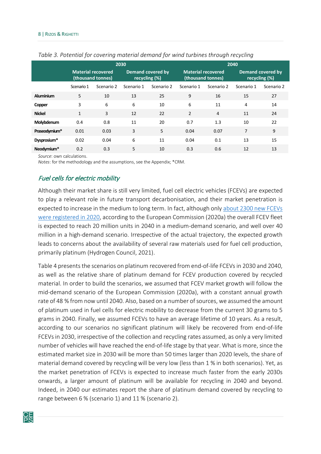|               |              |                                                | 2030       |                                    |                           |                   | 2040       |                                    |
|---------------|--------------|------------------------------------------------|------------|------------------------------------|---------------------------|-------------------|------------|------------------------------------|
|               |              | <b>Material recovered</b><br>(thousand tonnes) |            | Demand covered by<br>recycling (%) | <b>Material recovered</b> | (thousand tonnes) |            | Demand covered by<br>recycling (%) |
|               | Scenario 1   | Scenario 2                                     | Scenario 1 | Scenario 2                         | Scenario 1                | Scenario 2        | Scenario 1 | Scenario 2                         |
| Aluminium     | 5            | 10                                             | 13         | 25                                 | 9                         | 16                | 15         | 27                                 |
| Copper        | 3            | 6                                              | 6          | 10                                 | 6                         | 11                | 4          | 14                                 |
| <b>Nickel</b> | $\mathbf{1}$ | 3                                              | 12         | 22                                 | $\overline{2}$            | $\overline{4}$    | 11         | 24                                 |
| Molybdenum    | 0.4          | 0.8                                            | 11         | 20                                 | 0.7                       | 1.3               | 10         | 22                                 |
| Praseodymium* | 0.01         | 0.03                                           | 3          | 5                                  | 0.04                      | 0.07              | 7          | 9                                  |
| Dysprosium*   | 0.02         | 0.04                                           | 6          | 11                                 | 0.04                      | 0.1               | 13         | 15                                 |
| Neodymium*    | 0.2          | 0.3                                            | 5          | 10                                 | 0.3                       | 0.6               | 12         | 13                                 |

#### <span id="page-10-1"></span>*Table 3. Potential for covering material demand for wind turbines through recycling*

*Source*: own calculations.

<span id="page-10-0"></span>*Notes*: for the methodology and the assumptions, see the Appendix; \*CRM.

#### Fuel cells for electric mobility

Although their market share is still very limited, fuel cell electric vehicles (FCEVs) are expected to play a relevant role in future transport decarbonisation, and their market penetration is expected to increase in the medium to long term. In fact, although only [about 2300 new FCEVs](https://www.fchobservatory.eu/observatory/technology-and-market/net-number-of-fcevs-annual)  [were registered in 2020,](https://www.fchobservatory.eu/observatory/technology-and-market/net-number-of-fcevs-annual) according to the European Commission (2020a) the overall FCEV fleet is expected to reach 20 million units in 2040 in a medium-demand scenario, and well over 40 million in a high-demand scenario. Irrespective of the actual trajectory, the expected growth leads to concerns about the availability of several raw materials used for fuel cell production, primarily platinum (Hydrogen Council, 2021).

Table 4 presents the scenarios on platinum recovered from end-of-life FCEVs in 2030 and 2040, as well as the relative share of platinum demand for FCEV production covered by recycled material. In order to build the scenarios, we assumed that FCEV market growth will follow the mid-demand scenario of the European Commission (2020a), with a constant annual growth rate of 48 % from now until 2040. Also, based on a number of sources, we assumed the amount of platinum used in fuel cells for electric mobility to decrease from the current 30 grams to 5 grams in 2040. Finally, we assumed FCEVs to have an average lifetime of 10 years. As a result, according to our scenarios no significant platinum will likely be recovered from end-of-life FCEVs in 2030, irrespective of the collection and recycling rates assumed, as only a very limited number of vehicles will have reached the end-of-life stage by that year. What is more, since the estimated market size in 2030 will be more than 50 times larger than 2020 levels, the share of material demand covered by recycling will be very low (less than 1 % in both scenarios). Yet, as the market penetration of FCEVs is expected to increase much faster from the early 2030s onwards, a larger amount of platinum will be available for recycling in 2040 and beyond. Indeed, in 2040 our estimates report the share of platinum demand covered by recycling to range between 6 % (scenario 1) and 11 % (scenario 2).

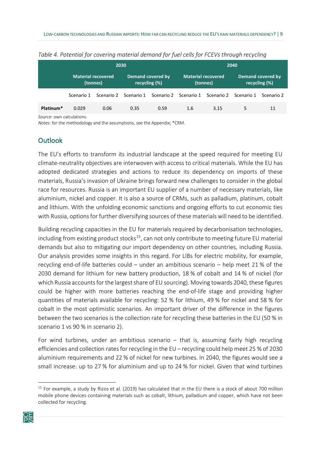|                       |                                |            | 2030                               |            |                                |            | 2040       |                                           |  |
|-----------------------|--------------------------------|------------|------------------------------------|------------|--------------------------------|------------|------------|-------------------------------------------|--|
|                       | Material recovered<br>(tonnes) |            | Demand covered by<br>recycling (%) |            | Material recovered<br>(tonnes) |            |            | <b>Demand covered by</b><br>recycling (%) |  |
|                       | Scenario 1                     | Scenario 2 | Scenario 1                         | Scenario 2 | Scenario 1                     | Scenario 2 | Scenario 1 | Scenario 2                                |  |
| Platinum <sup>*</sup> | 0.029                          | 0.06       | 0.35                               | 0.59       | 1.6                            | 3.15       | 5.         | 11                                        |  |

<span id="page-11-1"></span>*Table 4. Potential for covering material demand for fuel cells for FCEVs through recycling* 

*Source*: own calculations.

<span id="page-11-0"></span>*Notes*: for the methodology and the assumptions, see the Appendix; \*CRM.

#### **Outlook**

The EU's efforts to transform its industrial landscape at the speed required for meeting EU climate-neutrality objectives are interwoven with access to critical materials. While the EU has adopted dedicated strategies and actions to reduce its dependency on imports of these materials, Russia's invasion of Ukraine brings forward new challenges to consider in the global race for resources. Russia is an important EU supplier of a number of necessary materials, like aluminium, nickel and copper. It is also a source of CRMs, such as palladium, platinum, cobalt and lithium. With the unfolding economic sanctions and ongoing efforts to cut economic ties with Russia, options for further diversifying sources of these materials will need to be identified.

Building recycling capacities in the EU for materials required by decarbonisation technologies, including from existing product stocks<sup>[15](#page-11-2)</sup>, can not only contribute to meeting future EU material demands but also to mitigating our import dependency on other countries, including Russia. Our analysis provides some insights in this regard. For LIBs for electric mobility, for example, recycling end-of-life batteries could – under an ambitious scenario – help meet 21 % of the 2030 demand for lithium for new battery production, 18 % of cobalt and 14 % of nickel (for which Russia accounts for the largest share of EU sourcing). Moving towards 2040, these figures could be higher with more batteries reaching the end-of-life stage and providing higher quantities of materials available for recycling: 52 % for lithium, 49 % for nickel and 58 % for cobalt in the most optimistic scenarios. An important driver of the difference in the figures between the two scenarios is the collection rate for recycling these batteries in the EU (50 % in scenario 1 vs 90 % in scenario 2).

For wind turbines, under an ambitious scenario – that is, assuming fairly high recycling efficiencies and collection ratesfor recycling in the EU – recycling could help meet 25 % of 2030 aluminium requirements and 22 % of nickel for new turbines. In 2040, the figures would see a small increase: up to 27 % for aluminium and up to 24 % for nickel. Given that wind turbines

<span id="page-11-2"></span> $15$  For example, a study by Rizos et al. (2019) has calculated that in the EU there is a stock of about 700 million mobile phone devices containing materials such as cobalt, lithium, palladium and copper, which have not been collected for recycling.

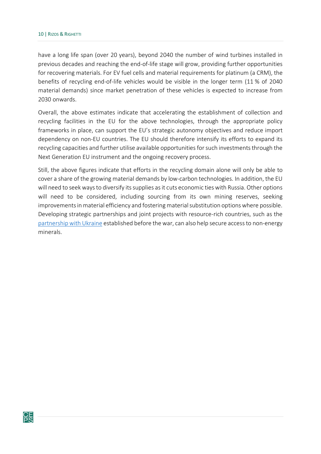have a long life span (over 20 years), beyond 2040 the number of wind turbines installed in previous decades and reaching the end-of-life stage will grow, providing further opportunities for recovering materials. For EV fuel cells and material requirements for platinum (a CRM), the benefits of recycling end-of-life vehicles would be visible in the longer term (11 % of 2040 material demands) since market penetration of these vehicles is expected to increase from 2030 onwards.

Overall, the above estimates indicate that accelerating the establishment of collection and recycling facilities in the EU for the above technologies, through the appropriate policy frameworks in place, can support the EU's strategic autonomy objectives and reduce import dependency on non-EU countries. The EU should therefore intensify its efforts to expand its recycling capacities and further utilise available opportunities for such investments through the Next Generation EU instrument and the ongoing recovery process.

Still, the above figures indicate that efforts in the recycling domain alone will only be able to cover a share of the growing material demands by low-carbon technologies. In addition, the EU will need to seek ways to diversify its supplies as it cuts economic ties with Russia. Other options will need to be considered, including sourcing from its own mining reserves, seeking improvements in material efficiency and fostering material substitution options where possible. Developing strategic partnerships and joint projects with resource-rich countries, such as the [partnership with Ukraine](https://ec.europa.eu/commission/presscorner/detail/en/IP_21_3633) established before the war, can also help secure access to non-energy minerals.

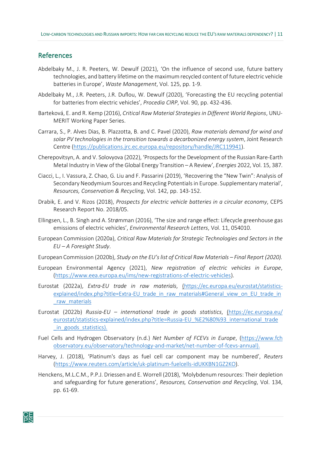#### <span id="page-13-0"></span>References

- Abdelbaky M., J. R. Peeters, W. Dewulf (2021), 'On the influence of second use, future battery technologies, and battery lifetime on the maximum recycled content of future electric vehicle batteries in Europe', *Waste Management*, Vol. 125, pp. 1-9.
- Abdelbaky M., J.R. Peeters, J.R. Duflou, W. Dewulf (2020), 'Forecasting the EU recycling potential for batteries from electric vehicles', *Procedia CIRP*, Vol. 90, pp. 432-436.
- Barteková, E. and R. Kemp (2016), *Critical Raw Material Strategies in Different World Regions*, UNU-MERIT Working Paper Series.
- Carrara, S., P. Alves Dias, B. Plazzotta, B. and C. Pavel (2020), *Raw materials demand for wind and solar PV technologies in the transition towards a decarbonized energy system*, Joint Research Centre (<https://publications.jrc.ec.europa.eu/repository/handle/JRC119941>).
- Cherepovitsyn, A. and V. Solovyova (2022), 'Prospects for the Development of the Russian Rare-Earth Metal Industry in View of the Global Energy Transition – A Review', *Energies* 2022, Vol. 15, 387.
- Ciacci, L., I. Vassura, Z. Chao, G. Liu and F. Passarini (2019), 'Recovering the "New Twin": Analysis of Secondary Neodymium Sources and Recycling Potentials in Europe. Supplementary material', *Resources, Conservation & Recycling*, Vol. 142, pp. 143-152.
- Drabik, E. and V. Rizos (2018), *Prospects for electric vehicle batteries in a circular economy*, CEPS Research Report No. 2018/05.
- Ellingsen, L., B. Singh and A. Strømman (2016), 'The size and range effect: Lifecycle greenhouse gas emissions of electric vehicles', *Environmental Research Letters*, Vol. 11, 054010.
- European Commission (2020a), *Critical Raw Materials for Strategic Technologies and Sectors in the EU – A Foresight Study*.
- European Commission (2020b), *Study on the EU's list of Critical Raw Materials Final Report (2020).*
- European Environmental Agency (2021), *New registration of electric vehicles in Europe*, ([https://www.eea.europa.eu/ims/new](https://www.eea.europa.eu/ims/new-registrations-of-electric-vehicles)-registrations-of-electric-vehicles).
- Eurostat (2022a), *Extra-EU trade in raw materials*, ([https://ec.europa.eu/eurostat/statistics](https://ec.europa.eu/eurostat/statistics-explained/index.php?title=Extra-EU_trade_in_raw_materials#General_view_on_EU_trade_in_raw_materials)-explained/index.php?title=Extra-[EU\\_trade\\_in\\_raw\\_materials#General\\_view\\_on\\_EU\\_trade\\_in](https://ec.europa.eu/eurostat/statistics-explained/index.php?title=Extra-EU_trade_in_raw_materials#General_view_on_EU_trade_in_raw_materials) [\\_raw\\_materials](https://ec.europa.eu/eurostat/statistics-explained/index.php?title=Extra-EU_trade_in_raw_materials#General_view_on_EU_trade_in_raw_materials)
- Eurostat (2022b) *Russia-EU international trade in goods statistics*, ([https://ec.europa.eu/](https://ec.europa.eu/eurostat/statistics-explained/index.php?title=Russia-EU_%E2%80%93_international_trade_in_goods_statistics) eurostat/statistics-explained/index.php?title=Russia-[EU\\_%E2%80%93\\_international\\_trade](https://ec.europa.eu/eurostat/statistics-explained/index.php?title=Russia-EU_%E2%80%93_international_trade_in_goods_statistics) [\\_in\\_goods\\_statistics](https://ec.europa.eu/eurostat/statistics-explained/index.php?title=Russia-EU_%E2%80%93_international_trade_in_goods_statistics)).
- Fuel Cells and Hydrogen Observatory (n.d.) *Net Number of FCEVs in Europe*, ([https://www.fch](https://www.fchobservatory.eu/observatory/technology-and-market/net-number-of-fcevs-annual) [observatory.eu/observatory/technology](https://www.fchobservatory.eu/observatory/technology-and-market/net-number-of-fcevs-annual)-and-market/net-number-of-fcevs-annual).
- Harvey, J. (2018), 'Platinum's days as fuel cell car component may be numbered', *Reuters*  ([https://www.reuters.com/article/uk](https://www.reuters.com/article/uk-platinum-fuelcells-idUKKBN1GZ2KO)-platinum-fuelcells-idUKKBN1GZ2KO).
- Henckens, M.L.C.M., P.P.J. Driessen and E. Worrell (2018), 'Molybdenum resources: Their depletion and safeguarding for future generations', *Resources, Conservation and Recycling*, Vol. 134, pp. 61-69.

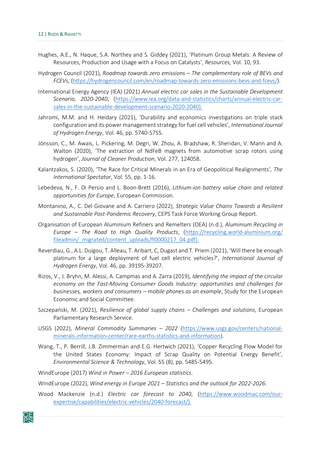- Hughes, A.E., N. Haque, S.A. Northey and S. Giddey (2021), 'Platinum Group Metals: A Review of Resources, Production and Usage with a Focus on Catalysts', *Resources,* Vol. 10, 93.
- Hydrogen Council (2021), *Roadmap towards zero emissions The complementary role of BEVs and FCEVs*, ([https://hydrogencouncil.com/en/roadmap](https://hydrogencouncil.com/en/roadmap-towards-zero-emissions-bevs-and-fcevs/)-towards-zero-emissions-bevs-and-fcevs/).
- International Energy Agency (IEA) (2021) *Annual electric car sales in the Sustainable Development Scenario, 2020-2040*, ([https://www.iea.org/data](https://www.iea.org/data-and-statistics/charts/annual-electric-car-sales-in-the-sustainable-development-scenario-2020-2040)-and-statistics/charts/annual-electric-car[sales-in-the-sustainable-development-scenario-2020-2040\)](https://www.iea.org/data-and-statistics/charts/annual-electric-car-sales-in-the-sustainable-development-scenario-2020-2040).
- Jahromi, M.M. and H. Heidary (2021), 'Durability and economics investigations on triple stack configuration and its power management strategy for fuel cell vehicles', *International Journal of Hydrogen Energy*, Vol. 46, pp. 5740-5755.
- Jönsson, C., M. Awais, L. Pickering, M. Degri, W. Zhou, A. Bradshaw, R. Sheridan, V. Mann and A. Walton (2020), 'The extraction of NdFeB magnets from automotive scrap rotors using hydrogen', *Journal of Cleaner Production*, Vol. 277, 124058.
- Kalantzakos, S. (2020), 'The Race for Critical Minerals in an Era of Geopolitical Realignments', *The International Spectator*, Vol. 55, pp. 1-16.
- Lebedeva, N., F. Di Persio and L. Boon-Brett (2016), *Lithium-ion battery value chain and related opportunities for Europe*, European Commission.
- Montanino, A., C. Del Giovane and A. Carriero (2022), *Strategic Value Chains Towards a Resilient and Sustainable Post-Pandemic Recovery*, CEPS Task Force Working Group Report.
- Organisation of European Aluminium Refiners and Remelters (OEA) (n.d.), *Aluminium Recycling in Europe – The Road to High Quality Products*, ([https://recycling.world](https://recycling.world-aluminium.org/fileadmin/_migrated/content_uploads/fl0000217_04.pdf)-aluminium.org/ fileadmin/ migrated/content\_uploads/fl0000217\_04.pdf).
- Reverdiau, G., A.L. Duigou, T. Alleau, T. Aribart, C, Dugast and T. Priem (2021), 'Will there be enough platinum for a large deployment of fuel cell electric vehicles?', *International Journal of Hydrogen Energy*, Vol. 46, pp. 39195-39207.
- Rizos, V., J. Bryhn, M. Alessi, A. Campmas and A. Zarra (2019), *Identifying the impact of the circular economy on the Fast-Moving Consumer Goods Industry: opportunities and challenges for businesses, workers and consumers – mobile phones as an example*, Study for the European Economic and Social Committee.
- Szczepański, M. (2021), *Resilience of global supply chains Challenges and solutions*, European Parliamentary Research Service.
- USGS (2022), *Mineral Commodity Summaries 2022* ([https://www.usgs.gov/centers/national](https://www.usgs.gov/centers/national-minerals-information-center/rare-earths-statistics-and-information)minerals-information-center/rare[-earths-statistics-and-information\)](https://www.usgs.gov/centers/national-minerals-information-center/rare-earths-statistics-and-information).
- Wang, T., P. Berrill, J.B. Zimmerman and E.G. Hertwich (2021), 'Copper Recycling Flow Model for the United States Economy: Impact of Scrap Quality on Potential Energy Benefit', *Environmental Science & Technology*, Vol. 55 (8), pp. 5485-5495.
- WindEurope (2017) *Wind in Power 2016 European statistics*.
- WindEurope (2022), *Wind energy in Europe 2021 Statistics and the outlook for 2022-2026*.
- Wood Mackenzie (n.d.) *Electric car forecast to 2040*, ([https://www.woodmac.com/our](https://www.woodmac.com/our-expertise/capabilities/electric-vehicles/2040-forecast/)[expertise/capabilities/electric](https://www.woodmac.com/our-expertise/capabilities/electric-vehicles/2040-forecast/)-vehicles/2040-forecast/).

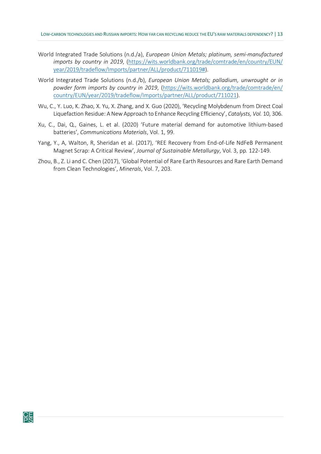- World Integrated Trade Solutions (n.d./a), *European Union Metals; platinum, semi-manufactured imports by country in 2019*, ([https://wits.worldbank.org/trade/comtrade/en/country/EUN/](https://wits.worldbank.org/trade/comtrade/en/country/EUN/year/2019/tradeflow/Imports/partner/ALL/product/711019) [year/2019/tradeflow/Imports/partner/ALL/product/711019#](https://wits.worldbank.org/trade/comtrade/en/country/EUN/year/2019/tradeflow/Imports/partner/ALL/product/711019)).
- World Integrated Trade Solutions (n.d./b), *European Union Metals; palladium, unwrought or in powder form imports by country in 2019*, ([https://wits.worldbank.org/trade/comtrade/en/](https://wits.worldbank.org/trade/comtrade/en/country/EUN/year/2019/tradeflow/Imports/partner/ALL/product/711021) [country/EUN/year/2019/tradeflow/Imports/partner/ALL/product/711021](https://wits.worldbank.org/trade/comtrade/en/country/EUN/year/2019/tradeflow/Imports/partner/ALL/product/711021)).
- Wu, C., Y. Luo, K. Zhao, X. Yu, X. Zhang, and X. Guo (2020), 'Recycling Molybdenum from Direct Coal Liquefaction Residue: A New Approach to Enhance Recycling Efficiency', *Catalysts, Vol.* 10, 306.
- Xu, C., Dai, Q., Gaines, L. et al. (2020) 'Future material demand for automotive lithium-based batteries', *Communications Materials*, Vol. 1, 99.
- Yang, Y., A, Walton, R, Sheridan et al. (2017), 'REE Recovery from End-of-Life NdFeB Permanent Magnet Scrap: A Critical Review', *Journal of Sustainable Metallurgy*, Vol. 3, pp*.* 122-149.
- Zhou, B., Z. Li and C. Chen (2017), 'Global Potential of Rare Earth Resources and Rare Earth Demand from Clean Technologies', *Minerals*, Vol. 7, 203.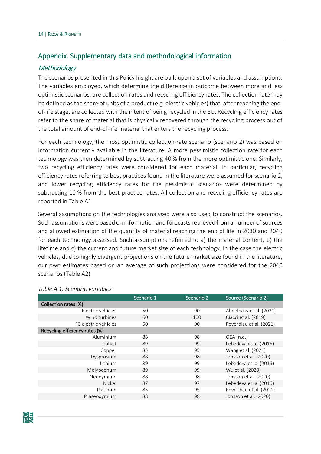#### <span id="page-16-0"></span>Appendix. Supplementary data and methodological information

#### <span id="page-16-1"></span>**Methodology**

The scenarios presented in this Policy Insight are built upon a set of variables and assumptions. The variables employed, which determine the difference in outcome between more and less optimistic scenarios, are collection rates and recycling efficiency rates. The collection rate may be defined as the share of units of a product (e.g. electric vehicles) that, after reaching the endof-life stage, are collected with the intent of being recycled in the EU. Recycling efficiency rates refer to the share of material that is physically recovered through the recycling process out of the total amount of end-of-life material that enters the recycling process.

For each technology, the most optimistic collection-rate scenario (scenario 2) was based on information currently available in the literature. A more pessimistic collection rate for each technology was then determined by subtracting 40 % from the more optimistic one. Similarly, two recycling efficiency rates were considered for each material. In particular, recycling efficiency rates referring to best practices found in the literature were assumed for scenario 2, and lower recycling efficiency rates for the pessimistic scenarios were determined by subtracting 10 % from the best-practice rates. All collection and recycling efficiency rates are reported in Table A1.

Several assumptions on the technologies analysed were also used to construct the scenarios. Such assumptions were based on information and forecasts retrieved from a number of sources and allowed estimation of the quantity of material reaching the end of life in 2030 and 2040 for each technology assessed. Such assumptions referred to a) the material content, b) the lifetime and c) the current and future market size of each technology. In the case the electric vehicles, due to highly divergent projections on the future market size found in the literature, our own estimates based on an average of such projections were considered for the 2040 scenarios (Table A2).

|                                | Scenario 1 | Scenario 2 | Source (Scenario 2)     |
|--------------------------------|------------|------------|-------------------------|
| Collection rates (%)           |            |            |                         |
| Electric vehicles              | 50         | 90         | Abdelbaky et al. (2020) |
| Wind turbines                  | 60         | 100        | Ciacci et al. (2019)    |
| FC electric vehicles           | 50         | 90         | Reverdiau et al. (2021) |
| Recycling efficiency rates (%) |            |            |                         |
| Aluminium                      | 88         | 98         | OEA (n.d.)              |
| Cobalt                         | 89         | 99         | Lebedeva et al. (2016)  |
| Copper                         | 85         | 95         | Wang et al. (2021)      |
| Dysprosium                     | 88         | 98         | Jönsson et al. (2020)   |
| Lithium                        | 89         | 99         | Lebedeva et. al (2016)  |
| Molybdenum                     | 89         | 99         | Wu et al. (2020)        |
| Neodymium                      | 88         | 98         | Jönsson et al. (2020)   |
| Nickel                         | 87         | 97         | Lebedeva et. al (2016)  |
| Platinum                       | 85         | 95         | Reverdiau et al. (2021) |
| Praseodymium                   | 88         | 98         | Jönsson et al. (2020)   |
|                                |            |            |                         |

#### <span id="page-16-2"></span>*Table A 1. Scenario variables*

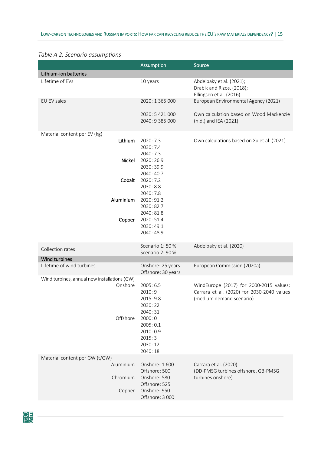#### <span id="page-17-0"></span>*Table A 2. Scenario assumptions*

|                                              | <b>Assumption</b>                                                                                         | Source                                                                                                            |
|----------------------------------------------|-----------------------------------------------------------------------------------------------------------|-------------------------------------------------------------------------------------------------------------------|
| Lithium-ion batteries                        |                                                                                                           |                                                                                                                   |
| Lifetime of EVs                              | 10 years                                                                                                  | Abdelbaky et al. (2021);<br>Drabik and Rizos, (2018);<br>Ellingsen et al. (2016)                                  |
| EU EV sales                                  | 2020: 1 365 000                                                                                           | European Environmental Agency (2021)                                                                              |
|                                              | 2030: 5 421 000<br>2040: 9 385 000                                                                        | Own calculation based on Wood Mackenzie<br>(n.d.) and IEA (2021)                                                  |
| Material content per EV (kg)                 |                                                                                                           |                                                                                                                   |
| Lithium<br>Nickel                            | 2020: 7.3<br>2030: 7.4<br>2040: 7.3<br>2020: 26.9                                                         | Own calculations based on Xu et al. (2021)                                                                        |
|                                              | 2030: 39.9<br>2040: 40.7                                                                                  |                                                                                                                   |
| Cobalt                                       | 2020: 7.2<br>2030: 8.8<br>2040: 7.8                                                                       |                                                                                                                   |
| Aluminium                                    | 2020: 91.2<br>2030: 82.7<br>2040: 81.8                                                                    |                                                                                                                   |
| Copper                                       | 2020: 51.4<br>2030: 49.1<br>2040: 48.9                                                                    |                                                                                                                   |
| Collection rates                             | Scenario 1:50%<br>Scenario 2: 90 %                                                                        | Abdelbaky et al. (2020)                                                                                           |
| Wind turbines                                |                                                                                                           |                                                                                                                   |
| Lifetime of wind turbines                    | Onshore: 25 years<br>Offshore: 30 years                                                                   | European Commission (2020a)                                                                                       |
| Wind turbines, annual new installations (GW) |                                                                                                           |                                                                                                                   |
| Onshore<br>Offshore                          | 2005: 6.5<br>2010: 9<br>2015: 9.8<br>2030: 22<br>2040: 31<br>2000: 0<br>2005: 0.1<br>2010: 0.9<br>2015: 3 | WindEurope (2017) for 2000-2015 values;<br>Carrara et al. (2020) for 2030-2040 values<br>(medium demand scenario) |
|                                              | 2030: 12<br>2040: 18                                                                                      |                                                                                                                   |
| Material content per GW (t/GW)               |                                                                                                           |                                                                                                                   |
| Aluminium                                    | Onshore: 1600<br>Offshore: 500                                                                            | Carrara et al. (2020)<br>(DD-PMSG turbines offshore, GB-PMSG                                                      |
| Chromium<br>Copper                           | Onshore: 580<br>Offshore: 525<br>Onshore: 950                                                             | turbines onshore)                                                                                                 |
|                                              | Offshore: 3 000                                                                                           |                                                                                                                   |

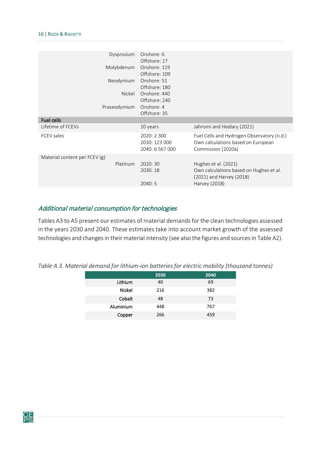| Dysprosium                    | Onshore: 6<br>Offshore: 17                      |                                                                                                              |
|-------------------------------|-------------------------------------------------|--------------------------------------------------------------------------------------------------------------|
| Molybdenum                    | Onshore: 119                                    |                                                                                                              |
|                               | Offshore: 109                                   |                                                                                                              |
| Neodymium                     | Onshore: 51                                     |                                                                                                              |
|                               | Offshore: 180                                   |                                                                                                              |
| Nickel                        | Onshore: 440                                    |                                                                                                              |
|                               | Offshore: 240                                   |                                                                                                              |
| Praseodymium                  | Onshore: 4                                      |                                                                                                              |
|                               | Offshore: 35                                    |                                                                                                              |
| Fuel cells                    |                                                 |                                                                                                              |
| Lifetime of FCEVs             | 10 years                                        | Jahromi and Heidary (2021)                                                                                   |
| <b>FCEV</b> sales             | 2020: 2 300<br>2030: 123 000<br>2040: 6 567 000 | Fuel Cells and Hydrogen Observatory (n.d.)<br>Own calculations based on European<br>Commission (2020a)       |
| Material content per FCEV (g) |                                                 |                                                                                                              |
| Platinum                      | 2020:30<br>2030: 18<br>2040:5                   | Hughes et al. (2021)<br>Own calculations based on Hughes et al.<br>(2021) and Harvey (2018)<br>Harvey (2018) |
|                               |                                                 |                                                                                                              |

#### <span id="page-18-0"></span>Additional material consumption for technologies

Tables A3 to A5 present our estimates of material demands for the clean technologies assessed in the years 2030 and 2040. These estimates take into account market growth of the assessed technologies and changes in their material intensity (see also the figures and sources in Table A2).

<span id="page-18-1"></span>*Table A 3. Material demand for lithium-ion batteries for electric mobility (thousand tonnes)*

|               | 2030 | 2040 |
|---------------|------|------|
| Lithium       | 40   | 69   |
| <b>Nickel</b> | 216  | 382  |
| Cobalt        | 48   | 73   |
| Aluminium     | 448  | 767  |
| Copper        | 266  | 459  |